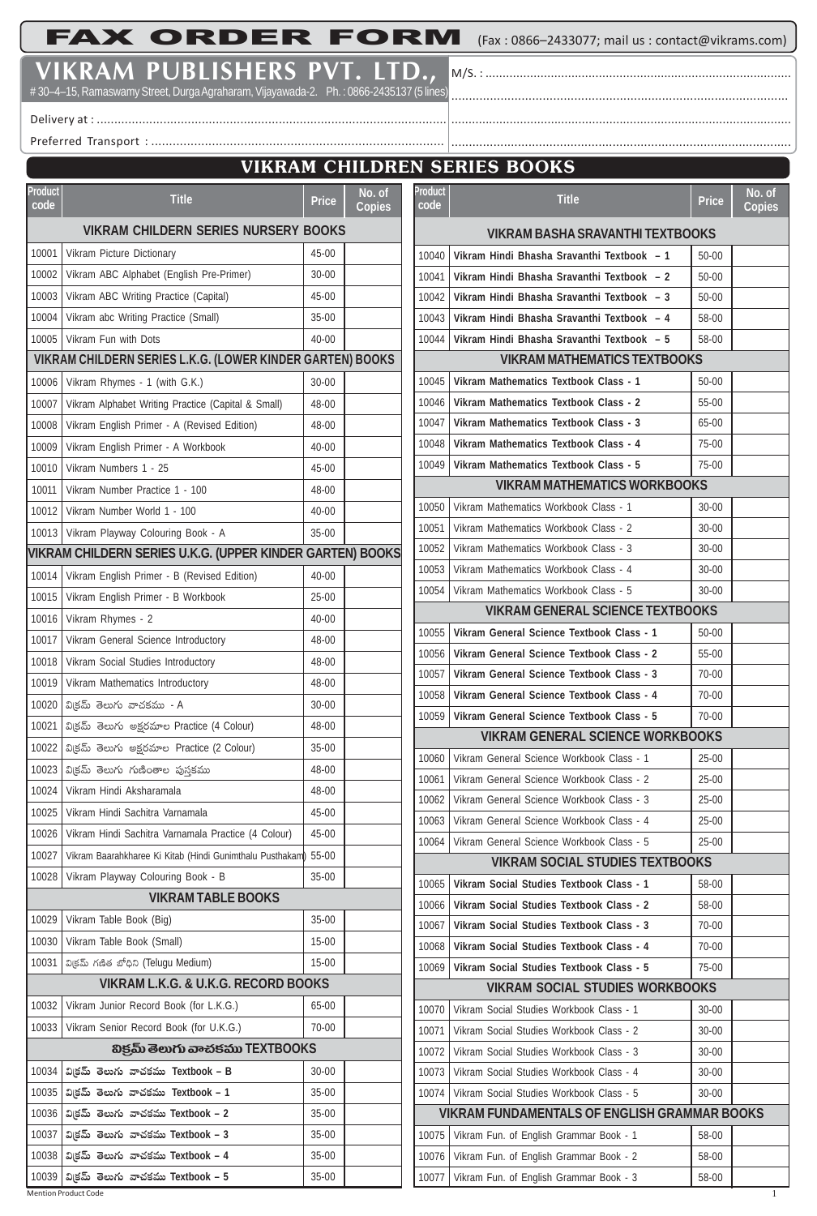FAX ORDER FORM (Fax : 0866–2433077; mail us : contact@vikrams.com)

M/S. : ......................................................................................... ................................................................................................

**VIKRAM PUBLISHERS PVT. LTD.,**

# 30–4–15, Ramaswamy Street, Durga Agraharam, Vijayawada-2. Ph. : 0866-2435137 (5 lines)

Delivery at : ....................................................................................................

Preferred Transport : ..................................................................................

## **VIKRAM CHILDREN SERIES BOOKS**

.................................................................................................

| Product<br>code | <b>Title</b>                                               | Price     | No. of<br><b>Copies</b> | Product<br>code | <b>Title</b>                                                                         | <b>Price</b> | No. of<br><b>Copies</b> |
|-----------------|------------------------------------------------------------|-----------|-------------------------|-----------------|--------------------------------------------------------------------------------------|--------------|-------------------------|
|                 | <b>VIKRAM CHILDERN SERIES NURSERY BOOKS</b>                |           |                         |                 | <b>VIKRAM BASHA SRAVANTHI TEXTBOOKS</b>                                              |              |                         |
| 10001           | Vikram Picture Dictionary                                  | 45-00     |                         | 10040           | Vikram Hindi Bhasha Sravanthi Textbook - 1                                           | $50 - 00$    |                         |
| 10002           | Vikram ABC Alphabet (English Pre-Primer)                   | $30 - 00$ |                         | 10041           | Vikram Hindi Bhasha Sravanthi Textbook - 2                                           | 50-00        |                         |
| 10003           | Vikram ABC Writing Practice (Capital)                      | 45-00     |                         | 10042           | Vikram Hindi Bhasha Sravanthi Textbook - 3                                           | $50 - 00$    |                         |
| 10004           | Vikram abc Writing Practice (Small)                        | $35 - 00$ |                         | 10043           | Vikram Hindi Bhasha Sravanthi Textbook - 4                                           | 58-00        |                         |
|                 | 10005   Vikram Fun with Dots                               | 40-00     |                         | 10044           | Vikram Hindi Bhasha Sravanthi Textbook - 5                                           | 58-00        |                         |
|                 | VIKRAM CHILDERN SERIES L.K.G. (LOWER KINDER GARTEN) BOOKS  |           |                         |                 | <b>VIKRAM MATHEMATICS TEXTBOOKS</b>                                                  |              |                         |
| 10006           | Vikram Rhymes - 1 (with G.K.)                              | $30 - 00$ |                         | 10045           | Vikram Mathematics Textbook Class - 1                                                | $50 - 00$    |                         |
| 10007           | Vikram Alphabet Writing Practice (Capital & Small)         | 48-00     |                         | 10046           | Vikram Mathematics Textbook Class - 2                                                | 55-00        |                         |
| 10008           | Vikram English Primer - A (Revised Edition)                | 48-00     |                         | 10047           | Vikram Mathematics Textbook Class - 3                                                | 65-00        |                         |
| 10009           | Vikram English Primer - A Workbook                         | 40-00     |                         | 10048           | Vikram Mathematics Textbook Class - 4                                                | 75-00        |                         |
| 10010           | Vikram Numbers 1 - 25                                      | 45-00     |                         | 10049           | Vikram Mathematics Textbook Class - 5                                                | 75-00        |                         |
| 10011           | Vikram Number Practice 1 - 100                             | 48-00     |                         |                 | <b>VIKRAM MATHEMATICS WORKBOOKS</b>                                                  |              |                         |
|                 | 10012   Vikram Number World 1 - 100                        | $40 - 00$ |                         | 10050           | Vikram Mathematics Workbook Class - 1                                                | 30-00        |                         |
|                 | 10013   Vikram Playway Colouring Book - A                  | $35 - 00$ |                         | 10051           | Vikram Mathematics Workbook Class - 2                                                | $30 - 00$    |                         |
|                 | VIKRAM CHILDERN SERIES U.K.G. (UPPER KINDER GARTEN) BOOKS  |           |                         | 10052           | Vikram Mathematics Workbook Class - 3                                                | $30 - 00$    |                         |
| 10014           | Vikram English Primer - B (Revised Edition)                | 40-00     |                         | 10053           | Vikram Mathematics Workbook Class - 4                                                | $30 - 00$    |                         |
| 10015           | Vikram English Primer - B Workbook                         | $25 - 00$ |                         | 10054           | Vikram Mathematics Workbook Class - 5                                                | $30 - 00$    |                         |
| 10016           | Vikram Rhymes - 2                                          | $40 - 00$ |                         |                 | <b>VIKRAM GENERAL SCIENCE TEXTBOOKS</b>                                              |              |                         |
| 10017           | Vikram General Science Introductory                        | 48-00     |                         | 10055           | Vikram General Science Textbook Class - 1                                            | $50 - 00$    |                         |
| 10018           | Vikram Social Studies Introductory                         | 48-00     |                         | 10056           | Vikram General Science Textbook Class - 2                                            | 55-00        |                         |
| 10019           | Vikram Mathematics Introductory                            | 48-00     |                         | 10057           | Vikram General Science Textbook Class - 3                                            | 70-00        |                         |
|                 | 10020   వి(కమ్ తెలుగు వాచకము - A                           | $30 - 00$ |                         | 10058           | Vikram General Science Textbook Class - 4                                            | 70-00        |                         |
| 10021           | విక్రమ్ తెలుగు అక్షరమాల Practice (4 Colour)                | 48-00     |                         | 10059           | Vikram General Science Textbook Class - 5<br><b>VIKRAM GENERAL SCIENCE WORKBOOKS</b> | 70-00        |                         |
|                 | 10022   విక్రమ్ తెలుగు అక్షరమాల Practice (2 Colour)        | $35 - 00$ |                         | 10060           | Vikram General Science Workbook Class - 1                                            | $25-00$      |                         |
|                 | 10023  ివిక్రమ్ తెలుగు గుణింతాల పుస్తకము                   | 48-00     |                         | 10061           | Vikram General Science Workbook Class - 2                                            | $25 - 00$    |                         |
| 10024           | Vikram Hindi Aksharamala                                   | 48-00     |                         | 10062           | Vikram General Science Workbook Class - 3                                            | $25 - 00$    |                         |
|                 | 10025   Vikram Hindi Sachitra Varnamala                    | 45-00     |                         | 10063           | Vikram General Science Workbook Class - 4                                            | 25-00        |                         |
| 10026           | Vikram Hindi Sachitra Varnamala Practice (4 Colour)        | 45-00     |                         | 10064           | Vikram General Science Workbook Class - 5                                            | 25-00        |                         |
| 10027           | Vikram Baarahkharee Ki Kitab (Hindi Gunimthalu Pusthakam)  | 55-00     |                         |                 | <b>VIKRAM SOCIAL STUDIES TEXTBOOKS</b>                                               |              |                         |
| 10028           | Vikram Playway Colouring Book - B                          | $35 - 00$ |                         | 10065           | Vikram Social Studies Textbook Class - 1                                             | 58-00        |                         |
|                 | <b>VIKRAM TABLE BOOKS</b>                                  |           |                         | 10066           | Vikram Social Studies Textbook Class - 2                                             | 58-00        |                         |
| 10029           | Vikram Table Book (Big)                                    | $35-00$   |                         | 10067           | Vikram Social Studies Textbook Class - 3                                             | 70-00        |                         |
| 10030           | Vikram Table Book (Small)                                  | $15 - 00$ |                         | 10068           | Vikram Social Studies Textbook Class - 4                                             | 70-00        |                         |
| 10031           | వి(కమ్ గణిత బోధిని (Teluqu Medium)                         | $15-00$   |                         | 10069           | Vikram Social Studies Textbook Class - 5                                             | 75-00        |                         |
|                 | VIKRAM L.K.G. & U.K.G. RECORD BOOKS                        |           |                         |                 | <b>VIKRAM SOCIAL STUDIES WORKBOOKS</b>                                               |              |                         |
| 10032           | Vikram Junior Record Book (for L.K.G.)                     | 65-00     |                         | 10070           | Vikram Social Studies Workbook Class - 1                                             | $30 - 00$    |                         |
| 10033           | Vikram Senior Record Book (for U.K.G.)                     | $70 - 00$ |                         | 10071           | Vikram Social Studies Workbook Class - 2                                             | $30 - 00$    |                         |
|                 | හිජුඛ් මහා රා නංස්ජිකා TEXTBOOKS                           |           |                         |                 | 10072   Vikram Social Studies Workbook Class - 3                                     | $30 - 00$    |                         |
|                 | $10034$   వి(కమ్ తెలుగు వాచకము Textbook – B                | $30 - 00$ |                         | 10073           | Vikram Social Studies Workbook Class - 4                                             | $30 - 00$    |                         |
|                 | 10035   విక్రమ్ తెలుగు వాచకము Textbook – 1                 | $35 - 00$ |                         |                 | 10074   Vikram Social Studies Workbook Class - 5                                     | $30 - 00$    |                         |
|                 | 10036   విక్రమ్ తెలుగు వాచకము Textbook – 2                 | $35 - 00$ |                         |                 | VIKRAM FUNDAMENTALS OF ENGLISH GRAMMAR BOOKS                                         |              |                         |
| 10037           | వి(కమ్ తెలుగు వాచకము Textbook – $3$                        | $35 - 00$ |                         | 10075           | Vikram Fun. of English Grammar Book - 1                                              | 58-00        |                         |
|                 | 10038   విక్రమ్ తెలుగు వాచకము Textbook – 4                 | $35-00$   |                         | 10076           | Vikram Fun. of English Grammar Book - 2                                              | 58-00        |                         |
| 10039           | విక్రమ్ తెలుగు వాచకము Textbook - 5<br>Mention Product Code | $35 - 00$ |                         | 10077           | Vikram Fun. of English Grammar Book - 3                                              | 58-00        |                         |
|                 |                                                            |           |                         |                 |                                                                                      |              |                         |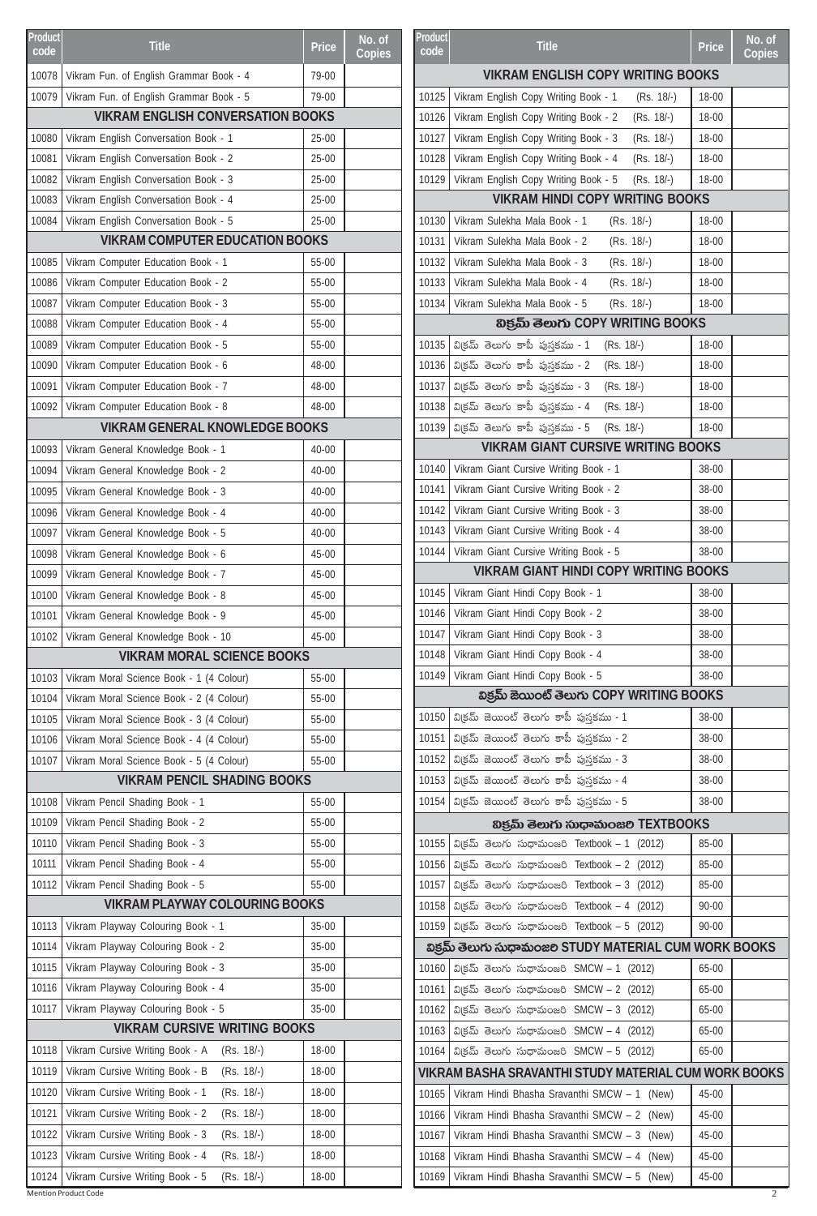| Product<br>code | <b>Title</b>                                                            | Price     | No. of<br><b>Copies</b> | <b>Product</b><br>code | <b>Title</b>                                                | Price     | No. of<br><b>Copies</b> |
|-----------------|-------------------------------------------------------------------------|-----------|-------------------------|------------------------|-------------------------------------------------------------|-----------|-------------------------|
| 10078           | Vikram Fun. of English Grammar Book - 4                                 | 79-00     |                         |                        | <b>VIKRAM ENGLISH COPY WRITING BOOKS</b>                    |           |                         |
| 10079           | Vikram Fun. of English Grammar Book - 5                                 | 79-00     |                         | 10125                  | Vikram English Copy Writing Book - 1<br>$(Rs. 18/-)$        | 18-00     |                         |
|                 | <b>VIKRAM ENGLISH CONVERSATION BOOKS</b>                                |           |                         | 10126                  | Vikram English Copy Writing Book - 2<br>$(Rs. 18/-)$        | $18 - 00$ |                         |
| 10080           | Vikram English Conversation Book - 1                                    | 25-00     |                         | 10127                  | Vikram English Copy Writing Book - 3<br>$(Rs. 18/-)$        | $18 - 00$ |                         |
| 10081           | Vikram English Conversation Book - 2                                    | 25-00     |                         | 10128                  | Vikram English Copy Writing Book - 4<br>$(Rs. 18/-)$        | 18-00     |                         |
| 10082           | Vikram English Conversation Book - 3                                    | 25-00     |                         | 10129                  | Vikram English Copy Writing Book - 5<br>(Rs. 18/-)          | 18-00     |                         |
| 10083           | Vikram English Conversation Book - 4                                    | $25 - 00$ |                         |                        | <b>VIKRAM HINDI COPY WRITING BOOKS</b>                      |           |                         |
| 10084           | Vikram English Conversation Book - 5                                    | $25 - 00$ |                         | 10130                  | Vikram Sulekha Mala Book - 1<br>(Rs. 18/-)                  | 18-00     |                         |
|                 | <b>VIKRAM COMPUTER EDUCATION BOOKS</b>                                  |           |                         | 10131                  | Vikram Sulekha Mala Book - 2<br>$(Rs. 18/-)$                | 18-00     |                         |
| 10085           | Vikram Computer Education Book - 1                                      | 55-00     |                         | 10132                  | Vikram Sulekha Mala Book - 3<br>$(Rs. 18/-)$                | $18 - 00$ |                         |
| 10086           | Vikram Computer Education Book - 2                                      | 55-00     |                         | 10133                  | Vikram Sulekha Mala Book - 4<br>$(Rs. 18/-)$                | $18 - 00$ |                         |
| 10087           | Vikram Computer Education Book - 3                                      | 55-00     |                         | 10134                  | Vikram Sulekha Mala Book - 5<br>$(Rs. 18/-)$                | 18-00     |                         |
| 10088           | Vikram Computer Education Book - 4                                      | 55-00     |                         |                        | හිජුඛ් මහාරා COPY WRITING BOOKS                             |           |                         |
| 10089           | Vikram Computer Education Book - 5                                      | 55-00     |                         | 10135                  | విక్రమ్ తెలుగు కాపీ పుస్తకము - 1<br>$(Rs. 18/-)$            | 18-00     |                         |
| 10090           | Vikram Computer Education Book - 6                                      | 48-00     |                         |                        | $10136$ విక్రమ్ తెలుగు కాపీ పుస్తకము - 2<br>$(Rs. 18/-)$    | $18 - 00$ |                         |
| 10091           | Vikram Computer Education Book - 7                                      | 48-00     |                         | 10137                  | $\vert$ వి(్రమ్ తెలుగు కాపీ పుస్తకము - $3$<br>$(Rs. 18/-)$  | $18 - 00$ |                         |
| 10092           | Vikram Computer Education Book - 8                                      | 48-00     |                         |                        | 10138   విక్రమ్ తెలుగు కాపీ పుస్తకము - 4<br>(Rs. 18/-)      | $18 - 00$ |                         |
|                 | <b>VIKRAM GENERAL KNOWLEDGE BOOKS</b>                                   |           |                         |                        | $10139$ విక్రమ్ తెలుగు కాపీ పుస్తకము - 5<br>(Rs. 18/-)      | 18-00     |                         |
| 10093           | Vikram General Knowledge Book - 1                                       | 40-00     |                         |                        | <b>VIKRAM GIANT CURSIVE WRITING BOOKS</b>                   |           |                         |
| 10094           | Vikram General Knowledge Book - 2                                       | 40-00     |                         | 10140                  | Vikram Giant Cursive Writing Book - 1                       | 38-00     |                         |
| 10095           | Vikram General Knowledge Book - 3                                       | 40-00     |                         | 10141                  | Vikram Giant Cursive Writing Book - 2                       | 38-00     |                         |
| 10096           | Vikram General Knowledge Book - 4                                       | 40-00     |                         | 10142                  | Vikram Giant Cursive Writing Book - 3                       | 38-00     |                         |
| 10097           | Vikram General Knowledge Book - 5                                       | 40-00     |                         | 10143                  | Vikram Giant Cursive Writing Book - 4                       | 38-00     |                         |
| 10098           | Vikram General Knowledge Book - 6                                       | 45-00     |                         | 10144                  | Vikram Giant Cursive Writing Book - 5                       | 38-00     |                         |
| 10099           | Vikram General Knowledge Book - 7                                       | 45-00     |                         |                        | <b>VIKRAM GIANT HINDI COPY WRITING BOOKS</b>                |           |                         |
| 10100           | Vikram General Knowledge Book - 8                                       | 45-00     |                         | 10145                  | Vikram Giant Hindi Copy Book - 1                            | 38-00     |                         |
| 10101           | Vikram General Knowledge Book - 9                                       | 45-00     |                         | 10146                  | Vikram Giant Hindi Copy Book - 2                            | 38-00     |                         |
| 10102           | Vikram General Knowledge Book - 10                                      | 45-00     |                         | 10147                  | Vikram Giant Hindi Copy Book - 3                            | 38-00     |                         |
|                 | <b>VIKRAM MORAL SCIENCE BOOKS</b>                                       |           |                         |                        | 10148   Vikram Giant Hindi Copy Book - 4                    | 38-00     |                         |
| 10103           | Vikram Moral Science Book - 1 (4 Colour)                                | 55-00     |                         |                        | 10149   Vikram Giant Hindi Copy Book - 5                    | 38-00     |                         |
| 10104           | Vikram Moral Science Book - 2 (4 Colour)                                | $55 - 00$ |                         |                        | విక్రమ్ జెయింట్ తెలుగు COPY WRITING BOOKS                   |           |                         |
| 10105           | Vikram Moral Science Book - 3 (4 Colour)                                | 55-00     |                         |                        | $10150$   వి(ජුమ్ జెయింట్ తెలుగు కాపీ పుస్తకము - 1          | 38-00     |                         |
| 10106           | Vikram Moral Science Book - 4 (4 Colour)                                | $55 - 00$ |                         |                        | $10151$ విక్రమ్ జెయింట్ తెలుగు కాపీ పుస్తకము - 2            | 38-00     |                         |
| 10107           | Vikram Moral Science Book - 5 (4 Colour)                                | $55-00$   |                         |                        | 10152   వి(ජබ් జెయింట్ తెలుగు కాపీ పుస్తకము - 3             | 38-00     |                         |
|                 | <b>VIKRAM PENCIL SHADING BOOKS</b>                                      |           |                         |                        | $10153$ విక్రమ్ జెయింట్ తెలుగు కాపీ పుస్తకము - 4            | 38-00     |                         |
| 10108           | Vikram Pencil Shading Book - 1                                          | 55-00     |                         | 10154                  | విక్రమ్ జెయింట్ తెలుగు కాపీ పుస్తకము - 5                    | 38-00     |                         |
| 10109           | Vikram Pencil Shading Book - 2                                          | 55-00     |                         |                        | හිජුమ్ తెలుగు సుధామంజల TEXTBOOKS                            |           |                         |
| 10110           | Vikram Pencil Shading Book - 3                                          | 55-00     |                         | 10155                  | వి(కమ్ తెలుగు సుధామంజరి Textbook – 1 (2012)                 | 85-00     |                         |
| 10111           | Vikram Pencil Shading Book - 4                                          | 55-00     |                         |                        | 10156   విక్రమ్ తెలుగు సుధామంజరి Textbook – 2 (2012)        | 85-00     |                         |
| 10112           | Vikram Pencil Shading Book - 5                                          | $55-00$   |                         | 10157                  | వి(కమ్ తెలుగు సుధామంజరి Textbook – 3 (2012)                 | 85-00     |                         |
|                 | <b>VIKRAM PLAYWAY COLOURING BOOKS</b>                                   |           |                         |                        | 10158   విక్రమ్ తెలుగు సుధామంజరి Textbook – 4 (2012)        | $90 - 00$ |                         |
| 10113           | Vikram Playway Colouring Book - 1                                       | 35-00     |                         |                        | 10159   విక్రమ్ తెలుగు సుధామంజరి Textbook – 5 (2012)        | $90 - 00$ |                         |
| 10114           | Vikram Playway Colouring Book - 2                                       | $35-00$   |                         |                        | విక్రమ్ తెలుగు సుధామంజల STUDY MATERIAL CUM WORK BOOKS       |           |                         |
| 10115           | Vikram Playway Colouring Book - 3                                       | 35-00     |                         |                        | 10160   వి(కమ్ తెలుగు సుధామంజరి SMCW - 1 (2012)             | 65-00     |                         |
| 10116           | Vikram Playway Colouring Book - 4                                       | 35-00     |                         | 10161                  | విక్రమ్ తెలుగు సుధామంజరి SMCW – 2 (2012)                    | 65-00     |                         |
| 10117           | Vikram Playway Colouring Book - 5                                       | 35-00     |                         | 10162                  | విక్రమ్ తెలుగు సుధామంజరి SMCW – 3 (2012)                    | 65-00     |                         |
|                 | <b>VIKRAM CURSIVE WRITING BOOKS</b>                                     |           |                         |                        | 10163   విక్రమ్ తెలుగు సుధామంజరి SMCW - 4 (2012)            | 65-00     |                         |
| 10118           | Vikram Cursive Writing Book - A<br>$(Rs. 18/-)$                         | $18 - 00$ |                         |                        | 10164   విక్రమ్ తెలుగు సుధామంజరి SMCW - 5 (2012)            | 65-00     |                         |
| 10119           | Vikram Cursive Writing Book - B<br>$(Rs. 18/-)$                         | 18-00     |                         |                        | <b>VIKRAM BASHA SRAVANTHI STUDY MATERIAL CUM WORK BOOKS</b> |           |                         |
| 10120           | Vikram Cursive Writing Book - 1<br>$(Rs. 18/-)$                         | $18 - 00$ |                         | 10165                  | Vikram Hindi Bhasha Sravanthi SMCW - 1 (New)                | 45-00     |                         |
| 10121           | Vikram Cursive Writing Book - 2<br>$(Rs. 18/-)$                         | 18-00     |                         | 10166                  | Vikram Hindi Bhasha Sravanthi SMCW - 2 (New)                | 45-00     |                         |
| 10122           | Vikram Cursive Writing Book - 3<br>$(Rs. 18/-)$                         | 18-00     |                         | 10167                  | Vikram Hindi Bhasha Sravanthi SMCW - 3 (New)                | 45-00     |                         |
| 10123           | Vikram Cursive Writing Book - 4<br>$(Rs. 18/-)$                         | 18-00     |                         | 10168                  | Vikram Hindi Bhasha Sravanthi SMCW - 4 (New)                | 45-00     |                         |
| 10124           | Vikram Cursive Writing Book - 5<br>$(Rs. 18/-)$<br>Mention Product Code | $18 - 00$ |                         | 10169                  | Vikram Hindi Bhasha Sravanthi SMCW - 5 (New)                | 45-00     |                         |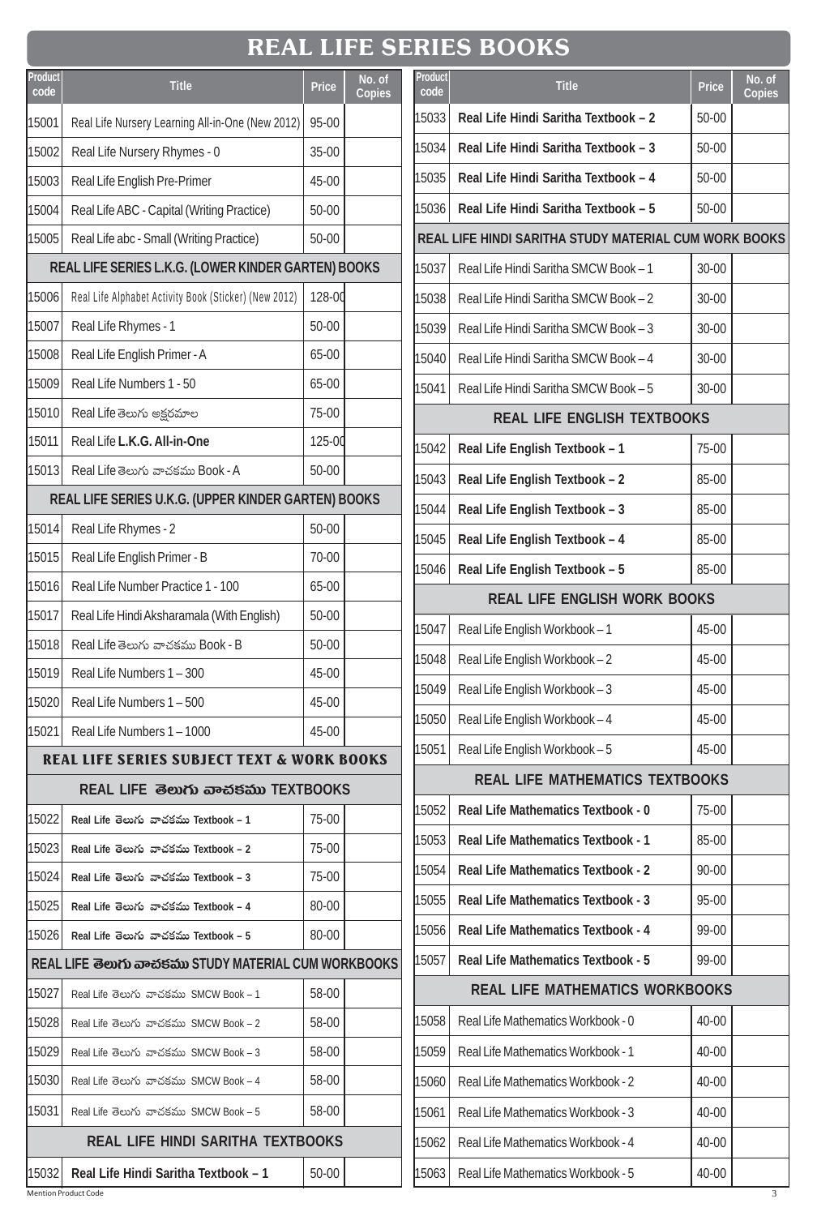## **REAL LIFE SERIES BOOKS**

| Product |                                                       |              | No. of        |
|---------|-------------------------------------------------------|--------------|---------------|
| code    | <b>Title</b>                                          | <b>Price</b> | <b>Copies</b> |
| 15001   | Real Life Nursery Learning All-in-One (New 2012)      | 95-00        |               |
| 15002   | Real Life Nursery Rhymes - 0                          | 35-00        |               |
| 15003   | Real Life English Pre-Primer                          | 45-00        |               |
| 15004   | Real Life ABC - Capital (Writing Practice)            | 50-00        |               |
| 15005   | Real Life abc - Small (Writing Practice)              | 50-00        |               |
|         | REAL LIFE SERIES L.K.G. (LOWER KINDER GARTEN) BOOKS   |              |               |
| 15006   | Real Life Alphabet Activity Book (Sticker) (New 2012) | 128-00       |               |
| 15007   | Real Life Rhymes - 1                                  | 50-00        |               |
| 15008   | Real Life English Primer - A                          | 65-00        |               |
| 15009   | Real Life Numbers 1 - 50                              | 65-00        |               |
| 15010   | Real Life తెలుగు అక్షరమాల                             | 75-00        |               |
| 15011   | Real Life L.K.G. All-in-One                           | 125-00       |               |
| 15013   | Real Life తెలుగు వాచకము Book - A                      | 50-00        |               |
|         | REAL LIFE SERIES U.K.G. (UPPER KINDER GARTEN) BOOKS   |              |               |
| 15014   | Real Life Rhymes - 2                                  | 50-00        |               |
| 15015   | Real Life English Primer - B                          | 70-00        |               |
| 15016   | Real Life Number Practice 1 - 100                     | 65-00        |               |
| 15017   | Real Life Hindi Aksharamala (With English)            | 50-00        |               |
| 15018   | Real Life తెలుగు వాచకము Book - B                      | 50-00        |               |
| 15019   | Real Life Numbers 1 - 300                             | 45-00        |               |
| 15020   | Real Life Numbers 1 - 500                             | 45-00        |               |
| 15021   | Real Life Numbers 1 - 1000                            | 45-00        |               |
|         | <b>REAL LIFE SERIES SUBJECT TEXT &amp; WORK BOOKS</b> |              |               |
|         |                                                       |              |               |
| 15022   | Real Life తెలుగు వాచకము Textbook – 1                  | 75-00        |               |
| 15023   | Real Life తెలుగు వాచకము Textbook – 2                  | 75-00        |               |
| 15024   | Real Life తెలుగు వాచకము Textbook – 3                  | 75-00        |               |
| 15025   | Real Life తెలుగు వాచకము Textbook – 4                  | 80-00        |               |
| 15026   | Real Life తెలుగు వాచకము Textbook – 5                  | 80-00        |               |
|         | REAL LIFE తెలుగు వాచకము STUDY MATERIAL CUM WORKBOOKS  |              |               |
| 15027   | Real Life తెలుగు వాచకము SMCW Book – 1                 | 58-00        |               |
| 15028   | Real Life తెలుగు వాచకము SMCW Book – 2                 | 58-00        |               |
| 15029   | Real Life తెలుగు వాచకము SMCW Book – 3                 | 58-00        |               |
| 15030   | Real Life తెలుగు వాచకము SMCW Book – 4                 | 58-00        |               |
| 15031   | Real Life తెలుగు వాచకము SMCW Book – 5                 | 58-00        |               |
|         | <b>REAL LIFE HINDI SARITHA TEXTBOOKS</b>              |              |               |
| 15032   | Real Life Hindi Saritha Textbook - 1                  | 50-00        |               |

| Product<br>code                     | <b>Title</b>                                          | Price     | No. of<br>Copies |  |
|-------------------------------------|-------------------------------------------------------|-----------|------------------|--|
| 15033                               | Real Life Hindi Saritha Textbook - 2                  | $50 - 00$ |                  |  |
| 15034                               | Real Life Hindi Saritha Textbook - 3                  | $50 - 00$ |                  |  |
| 15035                               | Real Life Hindi Saritha Textbook - 4                  | $50 - 00$ |                  |  |
| 15036                               | Real Life Hindi Saritha Textbook - 5                  | $50 - 00$ |                  |  |
|                                     | REAL LIFE HINDI SARITHA STUDY MATERIAL CUM WORK BOOKS |           |                  |  |
| 15037                               | Real Life Hindi Saritha SMCW Book - 1                 | 30-00     |                  |  |
| 15038                               | Real Life Hindi Saritha SMCW Book - 2                 | 30-00     |                  |  |
| 15039                               | Real Life Hindi Saritha SMCW Book - 3                 | 30-00     |                  |  |
| 15040                               | Real Life Hindi Saritha SMCW Book - 4                 | 30-00     |                  |  |
| 15041                               | Real Life Hindi Saritha SMCW Book - 5                 | 30-00     |                  |  |
|                                     | <b>REAL LIFE ENGLISH TEXTBOOKS</b>                    |           |                  |  |
| 15042                               | Real Life English Textbook - 1                        | 75-00     |                  |  |
| 15043                               | Real Life English Textbook - 2                        | 85-00     |                  |  |
| 15044                               | Real Life English Textbook - 3                        | 85-00     |                  |  |
| 15045                               | Real Life English Textbook - 4                        | 85-00     |                  |  |
| 15046                               | Real Life English Textbook - 5                        | 85-00     |                  |  |
| <b>REAL LIFE ENGLISH WORK BOOKS</b> |                                                       |           |                  |  |
| 15047                               | Real Life English Workbook - 1                        | 45-00     |                  |  |
| 15048                               | Real Life English Workbook - 2                        | 45-00     |                  |  |
| 15049                               | Real Life English Workbook - 3                        | 45-00     |                  |  |
| 15050                               | Real Life English Workbook - 4                        | 45-00     |                  |  |
| 15051                               | Real Life English Workbook - 5                        | 45-00     |                  |  |
|                                     | <b>REAL LIFE MATHEMATICS TEXTBOOKS</b>                |           |                  |  |
| 15052                               | Real Life Mathematics Textbook - 0                    | 75-00     |                  |  |
| 15053                               | Real Life Mathematics Textbook - 1                    | 85-00     |                  |  |
| 15054                               | Real Life Mathematics Textbook - 2                    | 90-00     |                  |  |
| 15055                               | <b>Real Life Mathematics Textbook - 3</b>             | 95-00     |                  |  |
| 15056                               | Real Life Mathematics Textbook - 4                    | 99-00     |                  |  |
| 15057                               | Real Life Mathematics Textbook - 5                    | 99-00     |                  |  |
|                                     | <b>REAL LIFE MATHEMATICS WORKBOOKS</b>                |           |                  |  |
| 15058                               | Real Life Mathematics Workbook - 0                    | 40-00     |                  |  |
| 15059                               | Real Life Mathematics Workbook - 1                    | 40-00     |                  |  |
| 15060                               | Real Life Mathematics Workbook - 2                    | 40-00     |                  |  |
| 15061                               | Real Life Mathematics Workbook - 3                    | 40-00     |                  |  |
| 15062                               | Real Life Mathematics Workbook - 4                    | 40-00     |                  |  |
| 15063                               | Real Life Mathematics Workbook - 5                    | 40-00     |                  |  |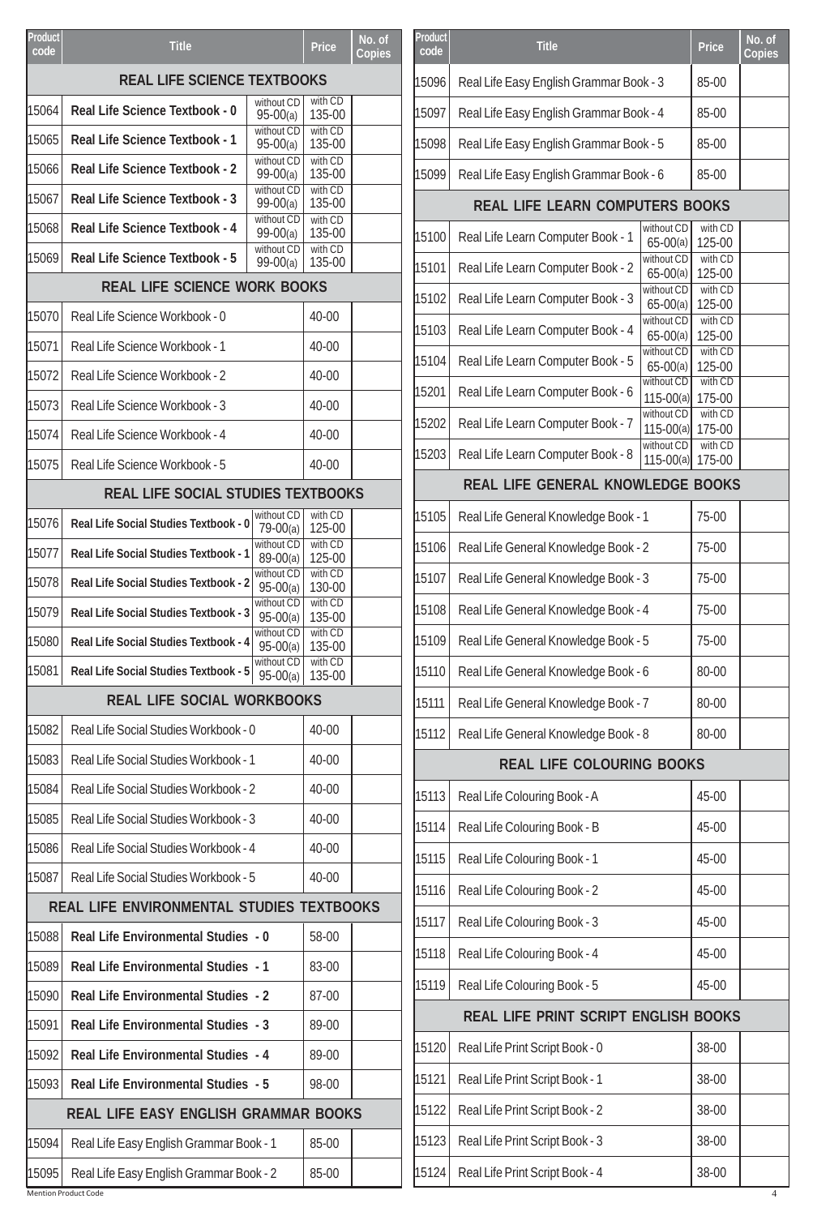| <b>REAL LIFE SCIENCE TEXTBOOKS</b><br>with CD<br>without CD<br>15064<br>Real Life Science Textbook - 0<br>135-00<br>$95-00(a)$<br>without CD<br>with CD<br>15065<br><b>Real Life Science Textbook - 1</b><br>135-00<br>$95-00(a)$<br>with CD<br>without CD<br>15066<br>Real Life Science Textbook - 2<br>135-00<br>$99-00(a)$<br>with CD<br>without CD<br>15067<br><b>Real Life Science Textbook - 3</b><br>135-00<br>$99-00(a)$<br>without CD<br>with CD<br>15068<br><b>Real Life Science Textbook - 4</b><br>135-00<br>$99-00(a)$<br>without CD<br>with CD<br>15069<br><b>Real Life Science Textbook - 5</b><br>135-00<br>$99-00(a)$<br><b>REAL LIFE SCIENCE WORK BOOKS</b><br>15070<br>$40 - 00$<br>Real Life Science Workbook - 0<br>Real Life Science Workbook - 1<br>15071<br>40-00<br>Real Life Science Workbook - 2<br>$40 - 00$<br>15072<br>Real Life Science Workbook - 3<br>15073<br>$40 - 00$<br>Real Life Science Workbook - 4<br>$40 - 00$<br>15074<br>15075<br>Real Life Science Workbook - 5<br>40-00<br><b>REAL LIFE SOCIAL STUDIES TEXTBOOKS</b><br>without CD<br>with CD<br>15076<br>Real Life Social Studies Textbook - 0<br>79-00(a)<br>125-00<br>with CD<br>without CD<br>15077<br><b>Real Life Social Studies Textbook - 1</b><br>$89-00(a)$<br>125-00<br>without CD<br>with CD<br>15078<br><b>Real Life Social Studies Textbook - 2</b><br>$95-00(a)$<br>130-00<br>without CD<br>with CD<br>15079<br><b>Real Life Social Studies Textbook - 3</b><br>$95-00(a)$<br>135-00<br>without CD<br>with CD<br>Real Life Social Studies Textbook - 4<br>$95-00(a)$<br>135-00<br>without CD<br>with CD<br>15081<br>Real Life Social Studies Textbook - 5<br>$95-00(a)$<br>135-00<br><b>REAL LIFE SOCIAL WORKBOOKS</b><br>Real Life Social Studies Workbook - 0<br>40-00<br>15082<br>15083<br>Real Life Social Studies Workbook - 1<br>40-00<br>Real Life Social Studies Workbook - 2<br>15084<br>40-00<br>Real Life Social Studies Workbook - 3<br>15085<br>$40 - 00$<br>15086<br>Real Life Social Studies Workbook - 4<br>40-00<br>Real Life Social Studies Workbook - 5<br>40-00<br>15087<br>REAL LIFE ENVIRONMENTAL STUDIES TEXTBOOKS<br>58-00<br>15088<br>Real Life Environmental Studies - 0<br>15089<br><b>Real Life Environmental Studies - 1</b><br>83-00<br><b>Real Life Environmental Studies - 2</b><br>87-00<br>15090<br>15091<br><b>Real Life Environmental Studies - 3</b><br>89-00<br>15092<br><b>Real Life Environmental Studies - 4</b><br>89-00<br>15093<br><b>Real Life Environmental Studies - 5</b><br>98-00<br><b>REAL LIFE EASY ENGLISH GRAMMAR BOOKS</b><br>85-00<br>15094<br>Real Life Easy English Grammar Book - 1 | Product | <b>Title</b> | Price | No. of |
|-------------------------------------------------------------------------------------------------------------------------------------------------------------------------------------------------------------------------------------------------------------------------------------------------------------------------------------------------------------------------------------------------------------------------------------------------------------------------------------------------------------------------------------------------------------------------------------------------------------------------------------------------------------------------------------------------------------------------------------------------------------------------------------------------------------------------------------------------------------------------------------------------------------------------------------------------------------------------------------------------------------------------------------------------------------------------------------------------------------------------------------------------------------------------------------------------------------------------------------------------------------------------------------------------------------------------------------------------------------------------------------------------------------------------------------------------------------------------------------------------------------------------------------------------------------------------------------------------------------------------------------------------------------------------------------------------------------------------------------------------------------------------------------------------------------------------------------------------------------------------------------------------------------------------------------------------------------------------------------------------------------------------------------------------------------------------------------------------------------------------------------------------------------------------------------------------------------------------------------------------------------------------------------------------------------------------------------------------------------------------------------------------------------------------------------------------------------------------------------------------------------------------------------------------------------------------------------------------------------------------------------------------------------|---------|--------------|-------|--------|
|                                                                                                                                                                                                                                                                                                                                                                                                                                                                                                                                                                                                                                                                                                                                                                                                                                                                                                                                                                                                                                                                                                                                                                                                                                                                                                                                                                                                                                                                                                                                                                                                                                                                                                                                                                                                                                                                                                                                                                                                                                                                                                                                                                                                                                                                                                                                                                                                                                                                                                                                                                                                                                                             | code    |              |       | Copies |
|                                                                                                                                                                                                                                                                                                                                                                                                                                                                                                                                                                                                                                                                                                                                                                                                                                                                                                                                                                                                                                                                                                                                                                                                                                                                                                                                                                                                                                                                                                                                                                                                                                                                                                                                                                                                                                                                                                                                                                                                                                                                                                                                                                                                                                                                                                                                                                                                                                                                                                                                                                                                                                                             |         |              |       |        |
|                                                                                                                                                                                                                                                                                                                                                                                                                                                                                                                                                                                                                                                                                                                                                                                                                                                                                                                                                                                                                                                                                                                                                                                                                                                                                                                                                                                                                                                                                                                                                                                                                                                                                                                                                                                                                                                                                                                                                                                                                                                                                                                                                                                                                                                                                                                                                                                                                                                                                                                                                                                                                                                             |         |              |       |        |
|                                                                                                                                                                                                                                                                                                                                                                                                                                                                                                                                                                                                                                                                                                                                                                                                                                                                                                                                                                                                                                                                                                                                                                                                                                                                                                                                                                                                                                                                                                                                                                                                                                                                                                                                                                                                                                                                                                                                                                                                                                                                                                                                                                                                                                                                                                                                                                                                                                                                                                                                                                                                                                                             |         |              |       |        |
|                                                                                                                                                                                                                                                                                                                                                                                                                                                                                                                                                                                                                                                                                                                                                                                                                                                                                                                                                                                                                                                                                                                                                                                                                                                                                                                                                                                                                                                                                                                                                                                                                                                                                                                                                                                                                                                                                                                                                                                                                                                                                                                                                                                                                                                                                                                                                                                                                                                                                                                                                                                                                                                             |         |              |       |        |
|                                                                                                                                                                                                                                                                                                                                                                                                                                                                                                                                                                                                                                                                                                                                                                                                                                                                                                                                                                                                                                                                                                                                                                                                                                                                                                                                                                                                                                                                                                                                                                                                                                                                                                                                                                                                                                                                                                                                                                                                                                                                                                                                                                                                                                                                                                                                                                                                                                                                                                                                                                                                                                                             |         |              |       |        |
|                                                                                                                                                                                                                                                                                                                                                                                                                                                                                                                                                                                                                                                                                                                                                                                                                                                                                                                                                                                                                                                                                                                                                                                                                                                                                                                                                                                                                                                                                                                                                                                                                                                                                                                                                                                                                                                                                                                                                                                                                                                                                                                                                                                                                                                                                                                                                                                                                                                                                                                                                                                                                                                             |         |              |       |        |
|                                                                                                                                                                                                                                                                                                                                                                                                                                                                                                                                                                                                                                                                                                                                                                                                                                                                                                                                                                                                                                                                                                                                                                                                                                                                                                                                                                                                                                                                                                                                                                                                                                                                                                                                                                                                                                                                                                                                                                                                                                                                                                                                                                                                                                                                                                                                                                                                                                                                                                                                                                                                                                                             |         |              |       |        |
|                                                                                                                                                                                                                                                                                                                                                                                                                                                                                                                                                                                                                                                                                                                                                                                                                                                                                                                                                                                                                                                                                                                                                                                                                                                                                                                                                                                                                                                                                                                                                                                                                                                                                                                                                                                                                                                                                                                                                                                                                                                                                                                                                                                                                                                                                                                                                                                                                                                                                                                                                                                                                                                             |         |              |       |        |
|                                                                                                                                                                                                                                                                                                                                                                                                                                                                                                                                                                                                                                                                                                                                                                                                                                                                                                                                                                                                                                                                                                                                                                                                                                                                                                                                                                                                                                                                                                                                                                                                                                                                                                                                                                                                                                                                                                                                                                                                                                                                                                                                                                                                                                                                                                                                                                                                                                                                                                                                                                                                                                                             |         |              |       |        |
|                                                                                                                                                                                                                                                                                                                                                                                                                                                                                                                                                                                                                                                                                                                                                                                                                                                                                                                                                                                                                                                                                                                                                                                                                                                                                                                                                                                                                                                                                                                                                                                                                                                                                                                                                                                                                                                                                                                                                                                                                                                                                                                                                                                                                                                                                                                                                                                                                                                                                                                                                                                                                                                             |         |              |       |        |
|                                                                                                                                                                                                                                                                                                                                                                                                                                                                                                                                                                                                                                                                                                                                                                                                                                                                                                                                                                                                                                                                                                                                                                                                                                                                                                                                                                                                                                                                                                                                                                                                                                                                                                                                                                                                                                                                                                                                                                                                                                                                                                                                                                                                                                                                                                                                                                                                                                                                                                                                                                                                                                                             |         |              |       |        |
|                                                                                                                                                                                                                                                                                                                                                                                                                                                                                                                                                                                                                                                                                                                                                                                                                                                                                                                                                                                                                                                                                                                                                                                                                                                                                                                                                                                                                                                                                                                                                                                                                                                                                                                                                                                                                                                                                                                                                                                                                                                                                                                                                                                                                                                                                                                                                                                                                                                                                                                                                                                                                                                             |         |              |       |        |
|                                                                                                                                                                                                                                                                                                                                                                                                                                                                                                                                                                                                                                                                                                                                                                                                                                                                                                                                                                                                                                                                                                                                                                                                                                                                                                                                                                                                                                                                                                                                                                                                                                                                                                                                                                                                                                                                                                                                                                                                                                                                                                                                                                                                                                                                                                                                                                                                                                                                                                                                                                                                                                                             |         |              |       |        |
|                                                                                                                                                                                                                                                                                                                                                                                                                                                                                                                                                                                                                                                                                                                                                                                                                                                                                                                                                                                                                                                                                                                                                                                                                                                                                                                                                                                                                                                                                                                                                                                                                                                                                                                                                                                                                                                                                                                                                                                                                                                                                                                                                                                                                                                                                                                                                                                                                                                                                                                                                                                                                                                             |         |              |       |        |
|                                                                                                                                                                                                                                                                                                                                                                                                                                                                                                                                                                                                                                                                                                                                                                                                                                                                                                                                                                                                                                                                                                                                                                                                                                                                                                                                                                                                                                                                                                                                                                                                                                                                                                                                                                                                                                                                                                                                                                                                                                                                                                                                                                                                                                                                                                                                                                                                                                                                                                                                                                                                                                                             |         |              |       |        |
|                                                                                                                                                                                                                                                                                                                                                                                                                                                                                                                                                                                                                                                                                                                                                                                                                                                                                                                                                                                                                                                                                                                                                                                                                                                                                                                                                                                                                                                                                                                                                                                                                                                                                                                                                                                                                                                                                                                                                                                                                                                                                                                                                                                                                                                                                                                                                                                                                                                                                                                                                                                                                                                             |         |              |       |        |
|                                                                                                                                                                                                                                                                                                                                                                                                                                                                                                                                                                                                                                                                                                                                                                                                                                                                                                                                                                                                                                                                                                                                                                                                                                                                                                                                                                                                                                                                                                                                                                                                                                                                                                                                                                                                                                                                                                                                                                                                                                                                                                                                                                                                                                                                                                                                                                                                                                                                                                                                                                                                                                                             |         |              |       |        |
|                                                                                                                                                                                                                                                                                                                                                                                                                                                                                                                                                                                                                                                                                                                                                                                                                                                                                                                                                                                                                                                                                                                                                                                                                                                                                                                                                                                                                                                                                                                                                                                                                                                                                                                                                                                                                                                                                                                                                                                                                                                                                                                                                                                                                                                                                                                                                                                                                                                                                                                                                                                                                                                             |         |              |       |        |
|                                                                                                                                                                                                                                                                                                                                                                                                                                                                                                                                                                                                                                                                                                                                                                                                                                                                                                                                                                                                                                                                                                                                                                                                                                                                                                                                                                                                                                                                                                                                                                                                                                                                                                                                                                                                                                                                                                                                                                                                                                                                                                                                                                                                                                                                                                                                                                                                                                                                                                                                                                                                                                                             |         |              |       |        |
|                                                                                                                                                                                                                                                                                                                                                                                                                                                                                                                                                                                                                                                                                                                                                                                                                                                                                                                                                                                                                                                                                                                                                                                                                                                                                                                                                                                                                                                                                                                                                                                                                                                                                                                                                                                                                                                                                                                                                                                                                                                                                                                                                                                                                                                                                                                                                                                                                                                                                                                                                                                                                                                             | 15080   |              |       |        |
|                                                                                                                                                                                                                                                                                                                                                                                                                                                                                                                                                                                                                                                                                                                                                                                                                                                                                                                                                                                                                                                                                                                                                                                                                                                                                                                                                                                                                                                                                                                                                                                                                                                                                                                                                                                                                                                                                                                                                                                                                                                                                                                                                                                                                                                                                                                                                                                                                                                                                                                                                                                                                                                             |         |              |       |        |
|                                                                                                                                                                                                                                                                                                                                                                                                                                                                                                                                                                                                                                                                                                                                                                                                                                                                                                                                                                                                                                                                                                                                                                                                                                                                                                                                                                                                                                                                                                                                                                                                                                                                                                                                                                                                                                                                                                                                                                                                                                                                                                                                                                                                                                                                                                                                                                                                                                                                                                                                                                                                                                                             |         |              |       |        |
|                                                                                                                                                                                                                                                                                                                                                                                                                                                                                                                                                                                                                                                                                                                                                                                                                                                                                                                                                                                                                                                                                                                                                                                                                                                                                                                                                                                                                                                                                                                                                                                                                                                                                                                                                                                                                                                                                                                                                                                                                                                                                                                                                                                                                                                                                                                                                                                                                                                                                                                                                                                                                                                             |         |              |       |        |
|                                                                                                                                                                                                                                                                                                                                                                                                                                                                                                                                                                                                                                                                                                                                                                                                                                                                                                                                                                                                                                                                                                                                                                                                                                                                                                                                                                                                                                                                                                                                                                                                                                                                                                                                                                                                                                                                                                                                                                                                                                                                                                                                                                                                                                                                                                                                                                                                                                                                                                                                                                                                                                                             |         |              |       |        |
|                                                                                                                                                                                                                                                                                                                                                                                                                                                                                                                                                                                                                                                                                                                                                                                                                                                                                                                                                                                                                                                                                                                                                                                                                                                                                                                                                                                                                                                                                                                                                                                                                                                                                                                                                                                                                                                                                                                                                                                                                                                                                                                                                                                                                                                                                                                                                                                                                                                                                                                                                                                                                                                             |         |              |       |        |
|                                                                                                                                                                                                                                                                                                                                                                                                                                                                                                                                                                                                                                                                                                                                                                                                                                                                                                                                                                                                                                                                                                                                                                                                                                                                                                                                                                                                                                                                                                                                                                                                                                                                                                                                                                                                                                                                                                                                                                                                                                                                                                                                                                                                                                                                                                                                                                                                                                                                                                                                                                                                                                                             |         |              |       |        |
|                                                                                                                                                                                                                                                                                                                                                                                                                                                                                                                                                                                                                                                                                                                                                                                                                                                                                                                                                                                                                                                                                                                                                                                                                                                                                                                                                                                                                                                                                                                                                                                                                                                                                                                                                                                                                                                                                                                                                                                                                                                                                                                                                                                                                                                                                                                                                                                                                                                                                                                                                                                                                                                             |         |              |       |        |
|                                                                                                                                                                                                                                                                                                                                                                                                                                                                                                                                                                                                                                                                                                                                                                                                                                                                                                                                                                                                                                                                                                                                                                                                                                                                                                                                                                                                                                                                                                                                                                                                                                                                                                                                                                                                                                                                                                                                                                                                                                                                                                                                                                                                                                                                                                                                                                                                                                                                                                                                                                                                                                                             |         |              |       |        |
|                                                                                                                                                                                                                                                                                                                                                                                                                                                                                                                                                                                                                                                                                                                                                                                                                                                                                                                                                                                                                                                                                                                                                                                                                                                                                                                                                                                                                                                                                                                                                                                                                                                                                                                                                                                                                                                                                                                                                                                                                                                                                                                                                                                                                                                                                                                                                                                                                                                                                                                                                                                                                                                             |         |              |       |        |
|                                                                                                                                                                                                                                                                                                                                                                                                                                                                                                                                                                                                                                                                                                                                                                                                                                                                                                                                                                                                                                                                                                                                                                                                                                                                                                                                                                                                                                                                                                                                                                                                                                                                                                                                                                                                                                                                                                                                                                                                                                                                                                                                                                                                                                                                                                                                                                                                                                                                                                                                                                                                                                                             |         |              |       |        |
|                                                                                                                                                                                                                                                                                                                                                                                                                                                                                                                                                                                                                                                                                                                                                                                                                                                                                                                                                                                                                                                                                                                                                                                                                                                                                                                                                                                                                                                                                                                                                                                                                                                                                                                                                                                                                                                                                                                                                                                                                                                                                                                                                                                                                                                                                                                                                                                                                                                                                                                                                                                                                                                             |         |              |       |        |
|                                                                                                                                                                                                                                                                                                                                                                                                                                                                                                                                                                                                                                                                                                                                                                                                                                                                                                                                                                                                                                                                                                                                                                                                                                                                                                                                                                                                                                                                                                                                                                                                                                                                                                                                                                                                                                                                                                                                                                                                                                                                                                                                                                                                                                                                                                                                                                                                                                                                                                                                                                                                                                                             |         |              |       |        |
|                                                                                                                                                                                                                                                                                                                                                                                                                                                                                                                                                                                                                                                                                                                                                                                                                                                                                                                                                                                                                                                                                                                                                                                                                                                                                                                                                                                                                                                                                                                                                                                                                                                                                                                                                                                                                                                                                                                                                                                                                                                                                                                                                                                                                                                                                                                                                                                                                                                                                                                                                                                                                                                             |         |              |       |        |
|                                                                                                                                                                                                                                                                                                                                                                                                                                                                                                                                                                                                                                                                                                                                                                                                                                                                                                                                                                                                                                                                                                                                                                                                                                                                                                                                                                                                                                                                                                                                                                                                                                                                                                                                                                                                                                                                                                                                                                                                                                                                                                                                                                                                                                                                                                                                                                                                                                                                                                                                                                                                                                                             |         |              |       |        |
|                                                                                                                                                                                                                                                                                                                                                                                                                                                                                                                                                                                                                                                                                                                                                                                                                                                                                                                                                                                                                                                                                                                                                                                                                                                                                                                                                                                                                                                                                                                                                                                                                                                                                                                                                                                                                                                                                                                                                                                                                                                                                                                                                                                                                                                                                                                                                                                                                                                                                                                                                                                                                                                             |         |              |       |        |
|                                                                                                                                                                                                                                                                                                                                                                                                                                                                                                                                                                                                                                                                                                                                                                                                                                                                                                                                                                                                                                                                                                                                                                                                                                                                                                                                                                                                                                                                                                                                                                                                                                                                                                                                                                                                                                                                                                                                                                                                                                                                                                                                                                                                                                                                                                                                                                                                                                                                                                                                                                                                                                                             |         |              |       |        |
|                                                                                                                                                                                                                                                                                                                                                                                                                                                                                                                                                                                                                                                                                                                                                                                                                                                                                                                                                                                                                                                                                                                                                                                                                                                                                                                                                                                                                                                                                                                                                                                                                                                                                                                                                                                                                                                                                                                                                                                                                                                                                                                                                                                                                                                                                                                                                                                                                                                                                                                                                                                                                                                             |         |              |       |        |
| Real Life Easy English Grammar Book - 2<br>85-00                                                                                                                                                                                                                                                                                                                                                                                                                                                                                                                                                                                                                                                                                                                                                                                                                                                                                                                                                                                                                                                                                                                                                                                                                                                                                                                                                                                                                                                                                                                                                                                                                                                                                                                                                                                                                                                                                                                                                                                                                                                                                                                                                                                                                                                                                                                                                                                                                                                                                                                                                                                                            | 15095   |              |       |        |

| <b>Product</b><br>code | <b>Title</b>                            | Price                       | No. of<br>Copies  |  |
|------------------------|-----------------------------------------|-----------------------------|-------------------|--|
| 15096                  | Real Life Easy English Grammar Book - 3 | 85-00                       |                   |  |
| 15097                  | Real Life Easy English Grammar Book - 4 | 85-00                       |                   |  |
| 15098                  | Real Life Easy English Grammar Book - 5 |                             | 85-00             |  |
| 15099                  | Real Life Easy English Grammar Book - 6 |                             | 85-00             |  |
|                        | <b>REAL LIFE LEARN COMPUTERS BOOKS</b>  |                             |                   |  |
| 15100                  | Real Life Learn Computer Book - 1       | without CD<br>$65 - 00(a)$  | with CD<br>125-00 |  |
| 15101                  | Real Life Learn Computer Book - 2       | without CD<br>$65-00(a)$    | with CD<br>125-00 |  |
| 15102                  | Real Life Learn Computer Book - 3       | without CD<br>$65-00(a)$    | with CD<br>125-00 |  |
| 15103                  | Real Life Learn Computer Book - 4       | without CD<br>$65-00(a)$    | with CD<br>125-00 |  |
| 15104                  | Real Life Learn Computer Book - 5       | without CD<br>$65-00(a)$    | with CD<br>125-00 |  |
| 15201                  | Real Life Learn Computer Book - 6       | without CD<br>$115 - 00(a)$ | with CD<br>175-00 |  |
| 15202                  | Real Life Learn Computer Book - 7       | without CD<br>$115 - 00(a)$ | with CD<br>175-00 |  |
| 15203                  | Real Life Learn Computer Book - 8       | without CD<br>$115 - 00(a)$ | with CD<br>175-00 |  |
|                        | REAL LIFE GENERAL KNOWLEDGE BOOKS       |                             |                   |  |
| 15105                  | Real Life General Knowledge Book - 1    |                             | 75-00             |  |
| 15106                  | Real Life General Knowledge Book - 2    | 75-00                       |                   |  |
| 15107                  | Real Life General Knowledge Book - 3    | 75-00                       |                   |  |
| 15108                  | Real Life General Knowledge Book - 4    | 75-00                       |                   |  |
| 15109                  | Real Life General Knowledge Book - 5    |                             | 75-00             |  |
| 15110                  | Real Life General Knowledge Book - 6    |                             | 80-00             |  |
| 15111                  | Real Life General Knowledge Book - 7    |                             | 80-00             |  |
| 15112                  | Real Life General Knowledge Book - 8    |                             | 80-00             |  |
|                        | <b>REAL LIFE COLOURING BOOKS</b>        |                             |                   |  |
| 15113                  | Real Life Colouring Book - A            |                             | 45-00             |  |
| 15114                  | Real Life Colouring Book - B            |                             | 45-00             |  |
| 15115                  | Real Life Colouring Book - 1            |                             | 45-00             |  |
| 15116                  | Real Life Colouring Book - 2            |                             | 45-00             |  |
| 15117                  | Real Life Colouring Book - 3            |                             | 45-00             |  |
| 15118                  | Real Life Colouring Book - 4            |                             | 45-00             |  |
| 15119                  | Real Life Colouring Book - 5            | 45-00                       |                   |  |
|                        | REAL LIFE PRINT SCRIPT ENGLISH BOOKS    |                             |                   |  |
| 15120                  | Real Life Print Script Book - 0         |                             | 38-00             |  |
| 15121                  | Real Life Print Script Book - 1         | 38-00                       |                   |  |
| 15122                  | Real Life Print Script Book - 2         |                             | 38-00             |  |
| 15123                  | Real Life Print Script Book - 3         |                             | 38-00             |  |
| 15124                  | Real Life Print Script Book - 4         | 38-00                       |                   |  |

Mention Product Code 4

I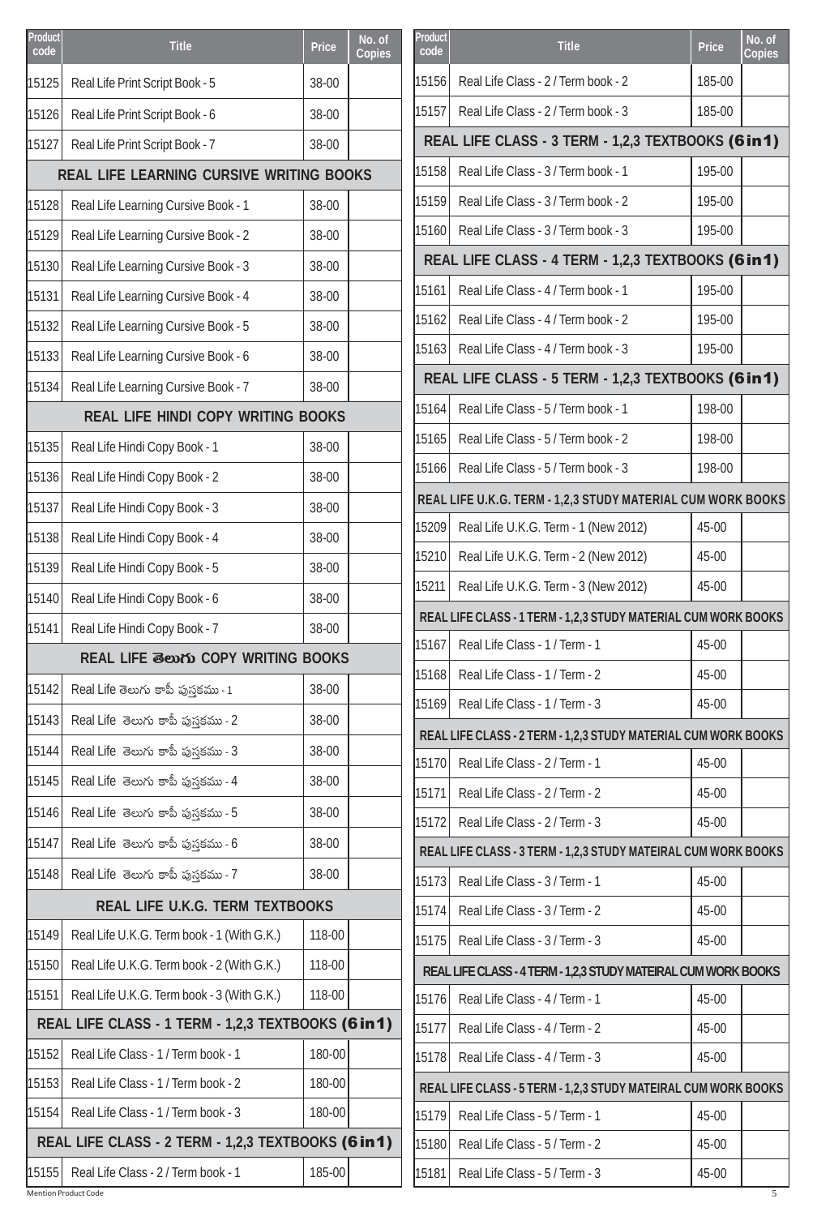| Product<br>code | <b>Title</b>                                        | <b>Price</b> | No. of<br><b>Copies</b> | Product<br>code | <b>Title</b>                                                                                     | <b>Price</b>   | No. of<br><b>Copies</b> |
|-----------------|-----------------------------------------------------|--------------|-------------------------|-----------------|--------------------------------------------------------------------------------------------------|----------------|-------------------------|
| 15125           | Real Life Print Script Book - 5                     | 38-00        |                         | 15156           | Real Life Class - 2 / Term book - 2                                                              | 185-00         |                         |
| 15126           | Real Life Print Script Book - 6                     | 38-00        |                         | 15157           | Real Life Class - 2 / Term book - 3                                                              | 185-00         |                         |
| 15127           | Real Life Print Script Book - 7                     | 38-00        |                         |                 | REAL LIFE CLASS - 3 TERM - 1,2,3 TEXTBOOKS (6 in 1)                                              |                |                         |
|                 | <b>REAL LIFE LEARNING CURSIVE WRITING BOOKS</b>     |              |                         | 15158           | Real Life Class - 3 / Term book - 1                                                              | 195-00         |                         |
| 15128           | Real Life Learning Cursive Book - 1                 | 38-00        |                         | 15159           | Real Life Class - 3 / Term book - 2                                                              | 195-00         |                         |
| 15129           | Real Life Learning Cursive Book - 2                 | 38-00        |                         | 15160           | Real Life Class - 3 / Term book - 3                                                              | 195-00         |                         |
| 15130           | Real Life Learning Cursive Book - 3                 | 38-00        |                         |                 | REAL LIFE CLASS - 4 TERM - 1,2,3 TEXTBOOKS (6 in 1)                                              |                |                         |
| 15131           | Real Life Learning Cursive Book - 4                 | 38-00        |                         | 15161           | Real Life Class - 4 / Term book - 1                                                              | 195-00         |                         |
| 15132           | Real Life Learning Cursive Book - 5                 | 38-00        |                         | 15162           | Real Life Class - 4 / Term book - 2                                                              | 195-00         |                         |
| 15133           | Real Life Learning Cursive Book - 6                 | 38-00        |                         | 15163           | Real Life Class - 4 / Term book - 3                                                              | 195-00         |                         |
| 15134           | Real Life Learning Cursive Book - 7                 | 38-00        |                         |                 | REAL LIFE CLASS - 5 TERM - 1,2,3 TEXTBOOKS (6 in 1)                                              |                |                         |
|                 | <b>REAL LIFE HINDI COPY WRITING BOOKS</b>           |              |                         | 15164           | Real Life Class - 5 / Term book - 1                                                              | 198-00         |                         |
| 15135           | Real Life Hindi Copy Book - 1                       | 38-00        |                         | 15165           | Real Life Class - 5 / Term book - 2                                                              | 198-00         |                         |
| 15136           | Real Life Hindi Copy Book - 2                       | 38-00        |                         | 15166           | Real Life Class - 5 / Term book - 3                                                              | 198-00         |                         |
| 15137           | Real Life Hindi Copy Book - 3                       | 38-00        |                         |                 | REAL LIFE U.K.G. TERM - 1,2,3 STUDY MATERIAL CUM WORK BOOKS                                      |                |                         |
| 15138           | Real Life Hindi Copy Book - 4                       | 38-00        |                         | 15209           | Real Life U.K.G. Term - 1 (New 2012)                                                             | 45-00          |                         |
| 15139           | Real Life Hindi Copy Book - 5                       | 38-00        |                         | 15210           | Real Life U.K.G. Term - 2 (New 2012)                                                             | 45-00          |                         |
| 15140           | Real Life Hindi Copy Book - 6                       | 38-00        |                         | 15211           | Real Life U.K.G. Term - 3 (New 2012)                                                             | 45-00          |                         |
| 15141           | Real Life Hindi Copy Book - 7                       | 38-00        |                         |                 | REAL LIFE CLASS - 1 TERM - 1,2,3 STUDY MATERIAL CUM WORK BOOKS                                   |                |                         |
|                 | <b>REAL LIFE මහා COPY WRITING BOOKS</b>             |              |                         |                 | 15167 Real Life Class - 1 / Term - 1                                                             | 45-00          |                         |
| 15142           | Real Life తెలుగు కాపీ పుస్తకము - 1                  | 38-00        |                         | 15168           | Real Life Class - 1 / Term - 2                                                                   | 45-00          |                         |
| 15143           | Real Life తెలుగు కాపీ పుస్తకము - 2                  | 38-00        |                         | 15169           | Real Life Class - 1 / Term - 3                                                                   | 45-00          |                         |
| 15144           | Real Life తెలుగు కాపీ పుస్తకము - 3                  | 38-00        |                         |                 | REAL LIFE CLASS - 2 TERM - 1,2,3 STUDY MATERIAL CUM WORK BOOKS                                   |                |                         |
| 15145           | Real Life తెలుగు కాపీ పుస్తకము - 4                  | 38-00        |                         | 15170           | Real Life Class - 2 / Term - 1<br>Real Life Class - 2 / Term - 2                                 | 45-00<br>45-00 |                         |
| 15146           | Real Life తెలుగు కాపీ పుస్తకము - 5                  | 38-00        |                         | 15171           |                                                                                                  |                |                         |
| 15147           | Real Life తెలుగు కాపీ పుస్తకము - 6                  | 38-00        |                         | 15172           | Real Life Class - 2 / Term - 3<br>REAL LIFE CLASS - 3 TERM - 1,2,3 STUDY MATEIRAL CUM WORK BOOKS | 45-00          |                         |
| 15148           | Real Life తెలుగు కాపీ పుస్తకము - 7                  | 38-00        |                         | 15173           | Real Life Class - 3 / Term - 1                                                                   | 45-00          |                         |
|                 | <b>REAL LIFE U.K.G. TERM TEXTBOOKS</b>              |              |                         | 15174           | Real Life Class - 3 / Term - 2                                                                   | 45-00          |                         |
| 15149           | Real Life U.K.G. Term book - 1 (With G.K.)          | 118-00       |                         | 15175           | Real Life Class - 3 / Term - 3                                                                   | 45-00          |                         |
| 15150           | Real Life U.K.G. Term book - 2 (With G.K.)          | 118-00       |                         |                 | REAL LIFE CLASS - 4 TERM - 1,2,3 STUDY MATEIRAL CUM WORK BOOKS                                   |                |                         |
| 15151           | Real Life U.K.G. Term book - 3 (With G.K.)          | 118-00       |                         | 15176           | Real Life Class - 4 / Term - 1                                                                   | 45-00          |                         |
|                 | REAL LIFE CLASS - 1 TERM - 1,2,3 TEXTBOOKS (6 in 1) |              |                         | 15177           | Real Life Class - 4 / Term - 2                                                                   | 45-00          |                         |
| 15152           | Real Life Class - 1 / Term book - 1                 | 180-00       |                         | 15178           | Real Life Class - 4 / Term - 3                                                                   | 45-00          |                         |
| 15153           | Real Life Class - 1 / Term book - 2                 | 180-00       |                         |                 | REAL LIFE CLASS - 5 TERM - 1,2,3 STUDY MATEIRAL CUM WORK BOOKS                                   |                |                         |
| 15154           | Real Life Class - 1 / Term book - 3                 | 180-00       |                         | 15179           | Real Life Class - 5 / Term - 1                                                                   | 45-00          |                         |
|                 | REAL LIFE CLASS - 2 TERM - 1,2,3 TEXTBOOKS (6 in 1) |              |                         | 15180           | Real Life Class - 5 / Term - 2                                                                   | 45-00          |                         |
| 15155           | Real Life Class - 2 / Term book - 1                 | 185-00       |                         | 15181           | Real Life Class - 5 / Term - 3                                                                   | 45-00          |                         |
|                 | <b>Mention Product Code</b>                         |              |                         |                 |                                                                                                  |                | 5                       |

| Product<br>code | <b>Title</b>                                                   | <b>Price</b> | No. of<br>Copies |
|-----------------|----------------------------------------------------------------|--------------|------------------|
| 15156           | Real Life Class - 2 / Term book - 2                            | 185-00       |                  |
| 15157           | Real Life Class - 2 / Term book - 3                            | 185-00       |                  |
|                 | REAL LIFE CLASS - 3 TERM - 1,2,3 TEXTBOOKS (6 in 1)            |              |                  |
| 15158           | Real Life Class - 3 / Term book - 1                            | 195-00       |                  |
| 15159           | Real Life Class - 3 / Term book - 2                            | 195-00       |                  |
| 15160           | Real Life Class - 3 / Term book - 3                            | 195-00       |                  |
|                 | REAL LIFE CLASS - 4 TERM - 1,2,3 TEXTBOOKS (6 in 1)            |              |                  |
| 15161           | Real Life Class - 4 / Term book - 1                            | 195-00       |                  |
| 15162           | Real Life Class - 4 / Term book - 2                            | 195-00       |                  |
| 15163           | Real Life Class - 4 / Term book - 3                            | 195-00       |                  |
|                 | REAL LIFE CLASS - 5 TERM - 1,2,3 TEXTBOOKS (6 in 1)            |              |                  |
| 15164           | Real Life Class - 5 / Term book - 1                            | 198-00       |                  |
| 15165           | Real Life Class - 5 / Term book - 2                            | 198-00       |                  |
| 15166           | Real Life Class - 5 / Term book - 3                            | 198-00       |                  |
|                 | REAL LIFE U.K.G. TERM - 1,2,3 STUDY MATERIAL CUM WORK BOOKS    |              |                  |
| 15209           | Real Life U.K.G. Term - 1 (New 2012)                           | 45-00        |                  |
| 15210           | Real Life U.K.G. Term - 2 (New 2012)                           | 45-00        |                  |
| 15211           | Real Life U.K.G. Term - 3 (New 2012)                           | 45-00        |                  |
|                 | REAL LIFE CLASS - 1 TERM - 1,2,3 STUDY MATERIAL CUM WORK BOOKS |              |                  |
| 15167           | Real Life Class - 1 / Term - 1                                 | 45-00        |                  |
| 15168           | Real Life Class - 1 / Term - 2                                 | 45-00        |                  |
| 15169           | Real Life Class - 1 / Term - 3                                 | 45-00        |                  |
|                 | REAL LIFE CLASS - 2 TERM - 1,2,3 STUDY MATERIAL CUM WORK BOOKS |              |                  |
| 15170           | Real Life Class - 2 / Term - 1                                 | 45-00        |                  |
| 15171           | Real Life Class - 2 / Term - 2                                 | 45-00        |                  |
| 15172           | Real Life Class - 2 / Term - 3                                 | 45-00        |                  |
|                 | REAL LIFE CLASS - 3 TERM - 1,2,3 STUDY MATEIRAL CUM WORK BOOKS |              |                  |
| 15173           | Real Life Class - 3 / Term - 1                                 | 45-00        |                  |
| 15174           | Real Life Class - 3 / Term - 2                                 | 45-00        |                  |
| 15175           | Real Life Class - 3 / Term - 3                                 | 45-00        |                  |
|                 | REAL LIFE CLASS - 4 TERM - 1,2,3 STUDY MATEIRAL CUM WORK BOOKS |              |                  |
| 15176           | Real Life Class - 4 / Term - 1                                 | 45-00        |                  |
| 15177           | Real Life Class - 4 / Term - 2                                 | 45-00        |                  |
| 15178           | Real Life Class - 4 / Term - 3                                 | 45-00        |                  |
|                 | REAL LIFE CLASS - 5 TERM - 1,2,3 STUDY MATEIRAL CUM WORK BOOKS |              |                  |
| 15179           | Real Life Class - 5 / Term - 1                                 | 45-00        |                  |
| 15180           | Real Life Class - 5 / Term - 2                                 | 45-00        |                  |
| 15181           | Real Life Class - 5 / Term - 3                                 | 45-00        |                  |